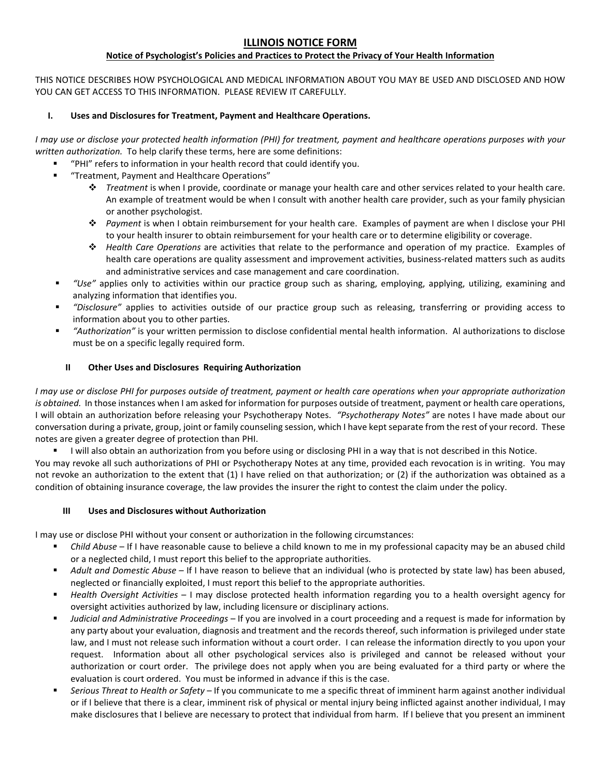# **ILLINOIS NOTICE FORM**

## **Notice of Psychologist's Policies and Practices to Protect the Privacy of Your Health Information**

THIS NOTICE DESCRIBES HOW PSYCHOLOGICAL AND MEDICAL INFORMATION ABOUT YOU MAY BE USED AND DISCLOSED AND HOW YOU CAN GET ACCESS TO THIS INFORMATION. PLEASE REVIEW IT CAREFULLY.

#### **I. Uses and Disclosures for Treatment, Payment and Healthcare Operations.**

*I may use or disclose your protected health information (PHI) for treatment, payment and healthcare operations purposes with your written authorization.* To help clarify these terms, here are some definitions:

- "PHI" refers to information in your health record that could identify you.
- "Treatment, Payment and Healthcare Operations"
	- *Treatment* is when I provide, coordinate or manage your health care and other services related to your health care. An example of treatment would be when I consult with another health care provider, such as your family physician or another psychologist.
	- *Payment* is when I obtain reimbursement for your health care. Examples of payment are when I disclose your PHI to your health insurer to obtain reimbursement for your health care or to determine eligibility or coverage.
	- *Health Care Operations* are activities that relate to the performance and operation of my practice. Examples of health care operations are quality assessment and improvement activities, business-related matters such as audits and administrative services and case management and care coordination.
- *"Use"* applies only to activities within our practice group such as sharing, employing, applying, utilizing, examining and analyzing information that identifies you.
- *"Disclosure"* applies to activities outside of our practice group such as releasing, transferring or providing access to information about you to other parties.
- *"Authorization"* is your written permission to disclose confidential mental health information. Al authorizations to disclose must be on a specific legally required form.

### **II Other Uses and Disclosures Requiring Authorization**

*I may use or disclose PHI for purposes outside of treatment, payment or health care operations when your appropriate authorization is obtained.* In those instances when I am asked for information for purposes outside of treatment, payment or health care operations, I will obtain an authorization before releasing your Psychotherapy Notes. *"Psychotherapy Notes"* are notes I have made about our conversation during a private, group, joint or family counseling session, which I have kept separate from the rest of your record. These notes are given a greater degree of protection than PHI.

I will also obtain an authorization from you before using or disclosing PHI in a way that is not described in this Notice.

You may revoke all such authorizations of PHI or Psychotherapy Notes at any time, provided each revocation is in writing. You may not revoke an authorization to the extent that (1) I have relied on that authorization; or (2) if the authorization was obtained as a condition of obtaining insurance coverage, the law provides the insurer the right to contest the claim under the policy.

#### **III Uses and Disclosures without Authorization**

I may use or disclose PHI without your consent or authorization in the following circumstances:

- *Child Abuse* If I have reasonable cause to believe a child known to me in my professional capacity may be an abused child or a neglected child, I must report this belief to the appropriate authorities.
- *Adult and Domestic Abuse* If I have reason to believe that an individual (who is protected by state law) has been abused, neglected or financially exploited, I must report this belief to the appropriate authorities.
- *Health Oversight Activities* I may disclose protected health information regarding you to a health oversight agency for oversight activities authorized by law, including licensure or disciplinary actions.
- *Judicial and Administrative Proceedings*  If you are involved in a court proceeding and a request is made for information by any party about your evaluation, diagnosis and treatment and the records thereof, such information is privileged under state law, and I must not release such information without a court order. I can release the information directly to you upon your request. Information about all other psychological services also is privileged and cannot be released without your authorization or court order. The privilege does not apply when you are being evaluated for a third party or where the evaluation is court ordered. You must be informed in advance if this is the case.
- *Serious Threat to Health or Safety*  If you communicate to me a specific threat of imminent harm against another individual or if I believe that there is a clear, imminent risk of physical or mental injury being inflicted against another individual, I may make disclosures that I believe are necessary to protect that individual from harm. If I believe that you present an imminent